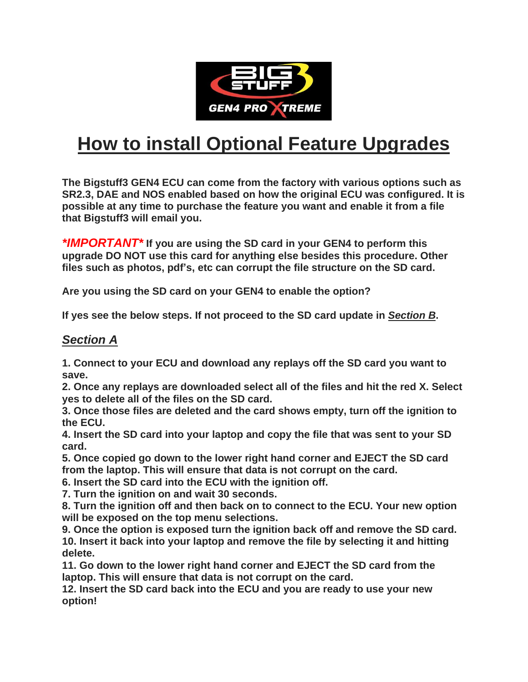

## **How to install Optional Feature Upgrades**

**The Bigstuff3 GEN4 ECU can come from the factory with various options such as SR2.3, DAE and NOS enabled based on how the original ECU was configured. It is possible at any time to purchase the feature you want and enable it from a file that Bigstuff3 will email you.**

*\*IMPORTANT\** **If you are using the SD card in your GEN4 to perform this upgrade DO NOT use this card for anything else besides this procedure. Other files such as photos, pdf's, etc can corrupt the file structure on the SD card.** 

**Are you using the SD card on your GEN4 to enable the option?** 

**If yes see the below steps. If not proceed to the SD card update in** *Section B***.** 

## *Section A*

**1. Connect to your ECU and download any replays off the SD card you want to save.**

**2. Once any replays are downloaded select all of the files and hit the red X. Select yes to delete all of the files on the SD card.**

**3. Once those files are deleted and the card shows empty, turn off the ignition to the ECU.**

**4. Insert the SD card into your laptop and copy the file that was sent to your SD card.**

**5. Once copied go down to the lower right hand corner and EJECT the SD card from the laptop. This will ensure that data is not corrupt on the card.**

**6. Insert the SD card into the ECU with the ignition off.**

**7. Turn the ignition on and wait 30 seconds.**

**8. Turn the ignition off and then back on to connect to the ECU. Your new option will be exposed on the top menu selections.**

**9. Once the option is exposed turn the ignition back off and remove the SD card. 10. Insert it back into your laptop and remove the file by selecting it and hitting delete.**

**11. Go down to the lower right hand corner and EJECT the SD card from the laptop. This will ensure that data is not corrupt on the card.**

**12. Insert the SD card back into the ECU and you are ready to use your new option!**